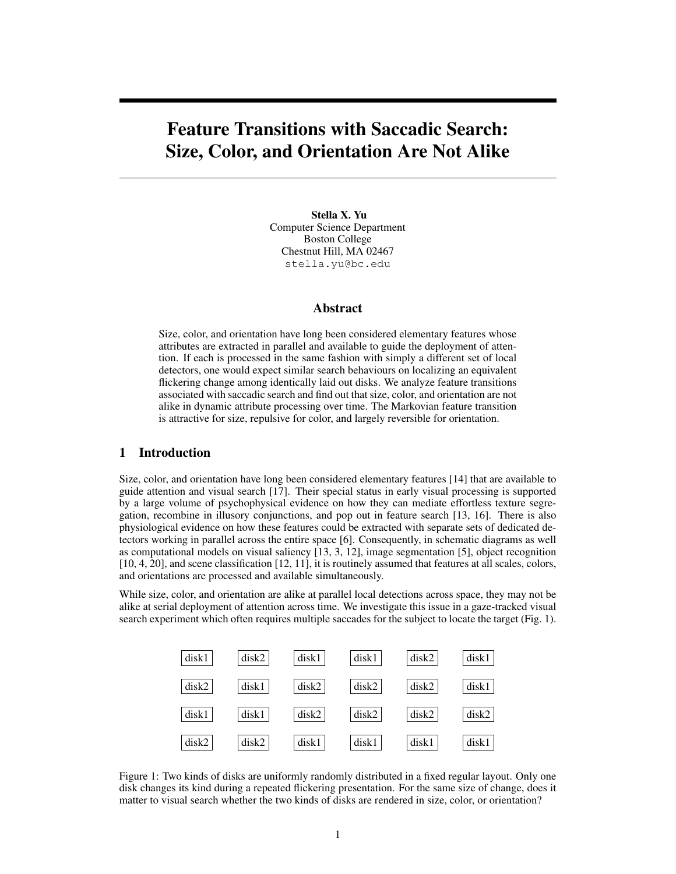# **Feature Transitions with Saccadic Search: Size, Color, and Orientation Are Not Alike**

**Stella X. Yu** Computer Science Department Boston College Chestnut Hill, MA 02467 stella.yu@bc.edu

#### **Abstract**

Size, color, and orientation have long been considered elementary features whose attributes are extracted in parallel and available to guide the deployment of attention. If each is processed in the same fashion with simply a different set of local detectors, one would expect similar search behaviours on localizing an equivalent flickering change among identically laid out disks. We analyze feature transitions associated with saccadic search and find out that size, color, and orientation are not alike in dynamic attribute processing over time. The Markovian feature transition is attractive for size, repulsive for color, and largely reversible for orientation.

## **1 Introduction**

Size, color, and orientation have long been considered elementary features [14] that are available to guide attention and visual search [17]. Their special status in early visual processing is supported by a large volume of psychophysical evidence on how they can mediate effortless texture segregation, recombine in illusory conjunctions, and pop out in feature search [13, 16]. There is also physiological evidence on how these features could be extracted with separate sets of dedicated detectors working in parallel across the entire space [6]. Consequently, in schematic diagrams as well as computational models on visual saliency [13, 3, 12], image segmentation [5], object recognition [10, 4, 20], and scene classification [12, 11], it is routinely assumed that features at all scales, colors, and orientations are processed and available simultaneously.

While size, color, and orientation are alike at parallel local detections across space, they may not be alike at serial deployment of attention across time. We investigate this issue in a gaze-tracked visual search experiment which often requires multiple saccades for the subject to locate the target (Fig. 1).



Figure 1: Two kinds of disks are uniformly randomly distributed in a fixed regular layout. Only one disk changes its kind during a repeated flickering presentation. For the same size of change, does it matter to visual search whether the two kinds of disks are rendered in size, color, or orientation?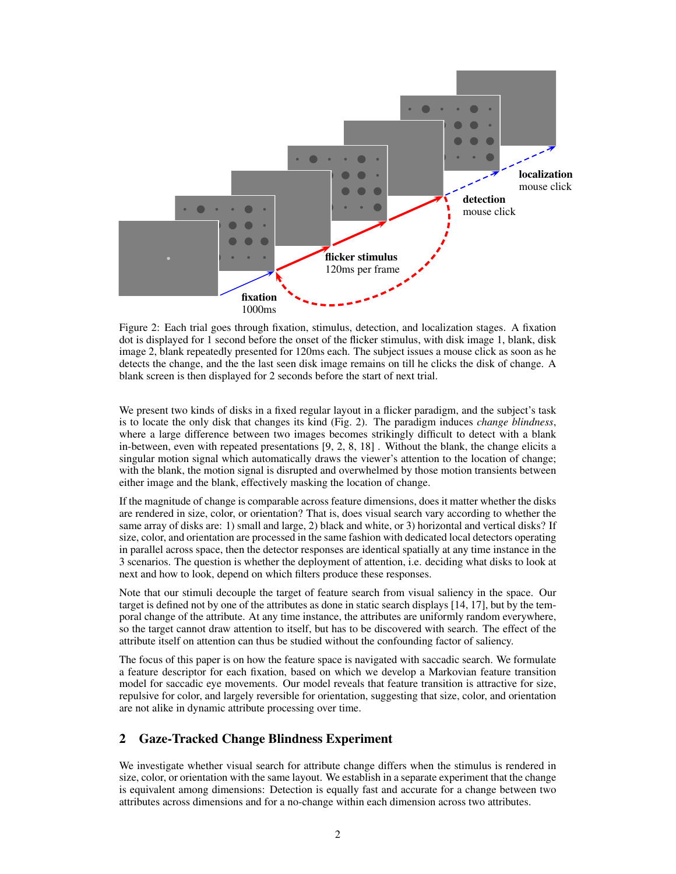

Figure 2: Each trial goes through fixation, stimulus, detection, and localization stages. A fixation dot is displayed for 1 second before the onset of the flicker stimulus, with disk image 1, blank, disk image 2, blank repeatedly presented for 120ms each. The subject issues a mouse click as soon as he detects the change, and the the last seen disk image remains on till he clicks the disk of change. A blank screen is then displayed for 2 seconds before the start of next trial.

We present two kinds of disks in a fixed regular layout in a flicker paradigm, and the subject's task is to locate the only disk that changes its kind (Fig. 2). The paradigm induces *change blindness*, where a large difference between two images becomes strikingly difficult to detect with a blank in-between, even with repeated presentations [9, 2, 8, 18] . Without the blank, the change elicits a singular motion signal which automatically draws the viewer's attention to the location of change; with the blank, the motion signal is disrupted and overwhelmed by those motion transients between either image and the blank, effectively masking the location of change.

If the magnitude of change is comparable across feature dimensions, does it matter whether the disks are rendered in size, color, or orientation? That is, does visual search vary according to whether the same array of disks are: 1) small and large, 2) black and white, or 3) horizontal and vertical disks? If size, color, and orientation are processed in the same fashion with dedicated local detectors operating in parallel across space, then the detector responses are identical spatially at any time instance in the 3 scenarios. The question is whether the deployment of attention, i.e. deciding what disks to look at next and how to look, depend on which filters produce these responses.

Note that our stimuli decouple the target of feature search from visual saliency in the space. Our target is defined not by one of the attributes as done in static search displays [14, 17], but by the temporal change of the attribute. At any time instance, the attributes are uniformly random everywhere, so the target cannot draw attention to itself, but has to be discovered with search. The effect of the attribute itself on attention can thus be studied without the confounding factor of saliency.

The focus of this paper is on how the feature space is navigated with saccadic search. We formulate a feature descriptor for each fixation, based on which we develop a Markovian feature transition model for saccadic eye movements. Our model reveals that feature transition is attractive for size, repulsive for color, and largely reversible for orientation, suggesting that size, color, and orientation are not alike in dynamic attribute processing over time.

# **2 Gaze-Tracked Change Blindness Experiment**

We investigate whether visual search for attribute change differs when the stimulus is rendered in size, color, or orientation with the same layout. We establish in a separate experiment that the change is equivalent among dimensions: Detection is equally fast and accurate for a change between two attributes across dimensions and for a no-change within each dimension across two attributes.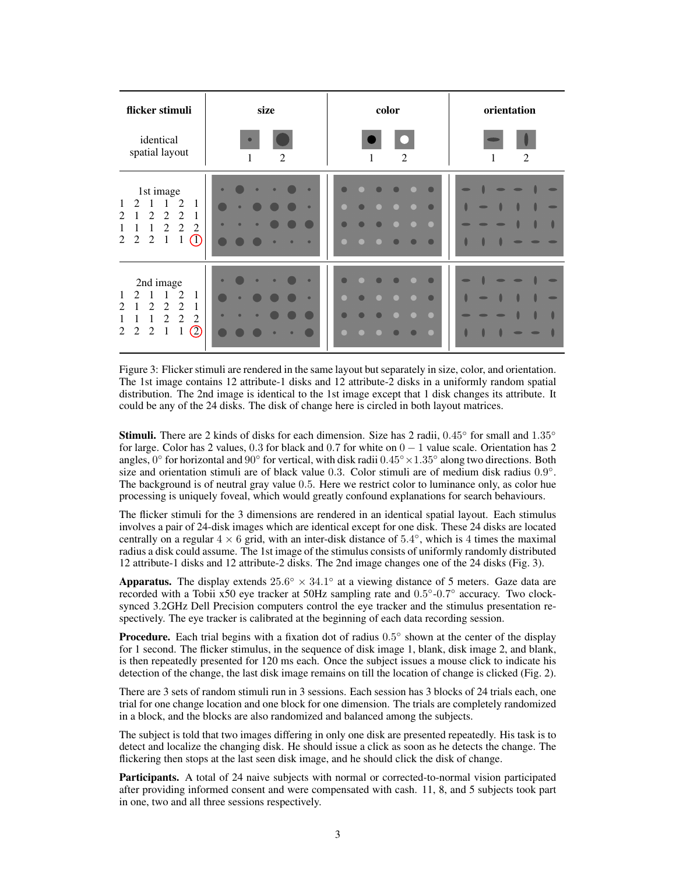| flicker stimuli                                                                                                                                                                                                               | size                                                       | color                                      | orientation                                                                                                                |  |  |  |  |
|-------------------------------------------------------------------------------------------------------------------------------------------------------------------------------------------------------------------------------|------------------------------------------------------------|--------------------------------------------|----------------------------------------------------------------------------------------------------------------------------|--|--|--|--|
| identical<br>spatial layout                                                                                                                                                                                                   | $\bullet$<br>2<br>1                                        | 2<br>1                                     | 2<br>1                                                                                                                     |  |  |  |  |
| 1st image<br>$\mathcal{L}$<br>1<br>2<br>1<br>1<br>2<br>$\overline{c}$<br>2<br>2<br>1<br>$\overline{c}$<br>2<br>2<br>$\circledcirc$<br>$\overline{c}$<br>$\overline{2}$<br>1<br>1<br>2                                         | $\bullet$<br>۰<br>$\bullet$<br>$\bullet$<br>٠<br>$\bullet$ | $\bullet$<br>$\blacksquare$<br>$\bullet$   | $\blacksquare$<br>$\blacksquare$<br>O<br>$\Rightarrow$<br>$\blacksquare$<br>$\blacksquare$                                 |  |  |  |  |
| 2nd image<br>$\mathcal{D}_{\mathcal{L}}$<br>2<br>1<br>1<br>$\overline{c}$<br>$\overline{2}$<br>2<br>2<br>1<br>2<br>$\mathfrak{D}$<br>$\overline{2}$<br>$\oslash$<br>$\overline{c}$<br>1<br>$\mathbf 1$<br>$\overline{2}$<br>2 | $\bullet$<br>۰<br>$\bullet$<br>$\bullet$<br>٠<br>۰         | $\bullet$<br>$\blacksquare$<br>$\Box$<br>œ | $\Rightarrow$<br>$\overline{\phantom{a}}$<br>Ô<br>$\Rightarrow$<br>$\blacksquare$<br>$\blacksquare$<br>O<br>$\blacksquare$ |  |  |  |  |

Figure 3: Flicker stimuli are rendered in the same layout but separately in size, color, and orientation. The 1st image contains 12 attribute-1 disks and 12 attribute-2 disks in a uniformly random spatial distribution. The 2nd image is identical to the 1st image except that 1 disk changes its attribute. It could be any of the 24 disks. The disk of change here is circled in both layout matrices.

**Stimuli.** There are 2 kinds of disks for each dimension. Size has 2 radii,  $0.45°$  for small and  $1.35°$ for large. Color has 2 values,  $0.3$  for black and  $0.7$  for white on  $0 - 1$  value scale. Orientation has 2 angles, 0° for horizontal and 90° for vertical, with disk radii  $0.45° \times 1.35°$  along two directions. Both size and orientation stimuli are of black value 0.3. Color stimuli are of medium disk radius  $0.9^{\circ}$ . The background is of neutral gray value 0.5. Here we restrict color to luminance only, as color hue processing is uniquely foveal, which would greatly confound explanations for search behaviours.

The flicker stimuli for the 3 dimensions are rendered in an identical spatial layout. Each stimulus involves a pair of 24-disk images which are identical except for one disk. These 24 disks are located centrally on a regular  $4 \times 6$  grid, with an inter-disk distance of 5.4°, which is 4 times the maximal radius a disk could assume. The 1st image of the stimulus consists of uniformly randomly distributed 12 attribute-1 disks and 12 attribute-2 disks. The 2nd image changes one of the 24 disks (Fig. 3).

**Apparatus.** The display extends  $25.6^{\circ} \times 34.1^{\circ}$  at a viewing distance of 5 meters. Gaze data are recorded with a Tobii x50 eye tracker at 50Hz sampling rate and 0.5°-0.7° accuracy. Two clocksynced 3.2GHz Dell Precision computers control the eye tracker and the stimulus presentation respectively. The eye tracker is calibrated at the beginning of each data recording session.

**Procedure.** Each trial begins with a fixation dot of radius  $0.5^{\circ}$  shown at the center of the display for 1 second. The flicker stimulus, in the sequence of disk image 1, blank, disk image 2, and blank, is then repeatedly presented for 120 ms each. Once the subject issues a mouse click to indicate his detection of the change, the last disk image remains on till the location of change is clicked (Fig. 2).

There are 3 sets of random stimuli run in 3 sessions. Each session has 3 blocks of 24 trials each, one trial for one change location and one block for one dimension. The trials are completely randomized in a block, and the blocks are also randomized and balanced among the subjects.

The subject is told that two images differing in only one disk are presented repeatedly. His task is to detect and localize the changing disk. He should issue a click as soon as he detects the change. The flickering then stops at the last seen disk image, and he should click the disk of change.

**Participants.** A total of 24 naive subjects with normal or corrected-to-normal vision participated after providing informed consent and were compensated with cash. 11, 8, and 5 subjects took part in one, two and all three sessions respectively.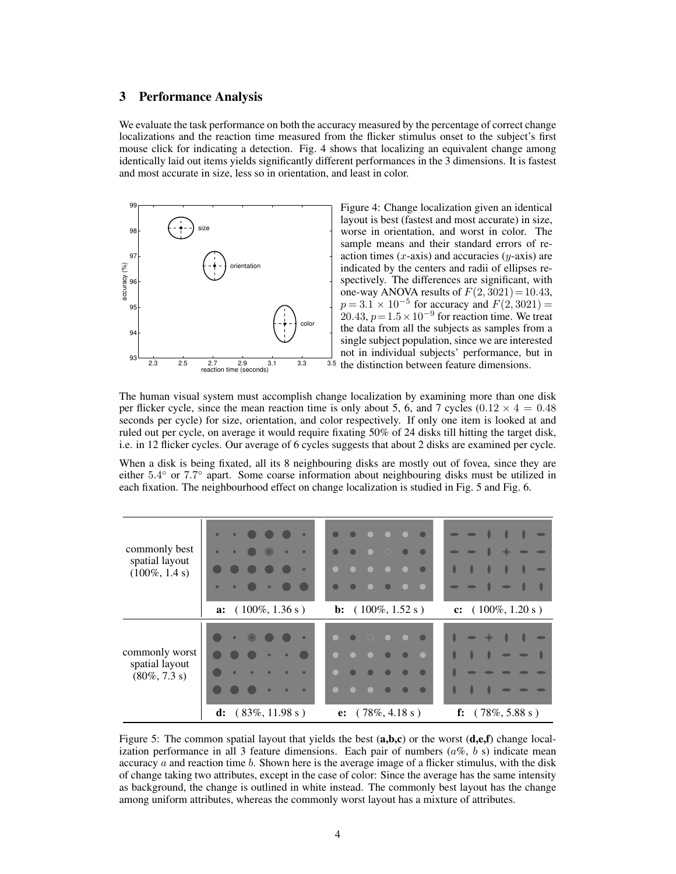#### **3 Performance Analysis**

We evaluate the task performance on both the accuracy measured by the percentage of correct change localizations and the reaction time measured from the flicker stimulus onset to the subject's first mouse click for indicating a detection. Fig. 4 shows that localizing an equivalent change among identically laid out items yields significantly different performances in the 3 dimensions. It is fastest and most accurate in size, less so in orientation, and least in color.



Figure 4: Change localization given an identical layout is best (fastest and most accurate) in size, worse in orientation, and worst in color. The sample means and their standard errors of reaction times  $(x$ -axis) and accuracies  $(y$ -axis) are indicated by the centers and radii of ellipses respectively. The differences are significant, with one-way ANOVA results of  $F(2, 3021) = 10.43$ ,  $p = 3.1 \times 10^{-5}$  for accuracy and  $F(2, 3021) =$  $20.43, p=1.5\times10^{-9}$  for reaction time. We treat the data from all the subjects as samples from a single subject population, since we are interested not in individual subjects' performance, but in 3.5 the distinction between feature dimensions.

The human visual system must accomplish change localization by examining more than one disk per flicker cycle, since the mean reaction time is only about 5, 6, and 7 cycles  $(0.12 \times 4 = 0.48$ seconds per cycle) for size, orientation, and color respectively. If only one item is looked at and ruled out per cycle, on average it would require fixating 50% of 24 disks till hitting the target disk, i.e. in 12 flicker cycles. Our average of 6 cycles suggests that about 2 disks are examined per cycle.

When a disk is being fixated, all its 8 neighbouring disks are mostly out of fovea, since they are either 5.4° or 7.7° apart. Some coarse information about neighbouring disks must be utilized in each fixation. The neighbourhood effect on change localization is studied in Fig. 5 and Fig. 6.

| $\bullet$<br>commonly best<br>spatial layout<br>$(100\%, 1.4 s)$<br>$\bullet$<br>$(100\%, 1.36 s)$<br>a: | $\bigcap$<br><b>b:</b> $(100\%, 1.52 \text{ s})$ | c: $(100\%, 1.20 s)$        |
|----------------------------------------------------------------------------------------------------------|--------------------------------------------------|-----------------------------|
|                                                                                                          |                                                  |                             |
| commonly worst<br>spatial layout<br>$(80\%, 7.3 s)$<br>d: $(83\%, 11.98 s)$                              | e: $(78\%, 4.18 \text{ s})$                      | f: $(78\%, 5.88 \text{ s})$ |

Figure 5: The common spatial layout that yields the best (**a,b,c**) or the worst (**d,e,f**) change localization performance in all 3 feature dimensions. Each pair of numbers  $(a\%, b\)$  indicate mean accuracy  $\alpha$  and reaction time  $\delta$ . Shown here is the average image of a flicker stimulus, with the disk of change taking two attributes, except in the case of color: Since the average has the same intensity as background, the change is outlined in white instead. The commonly best layout has the change among uniform attributes, whereas the commonly worst layout has a mixture of attributes.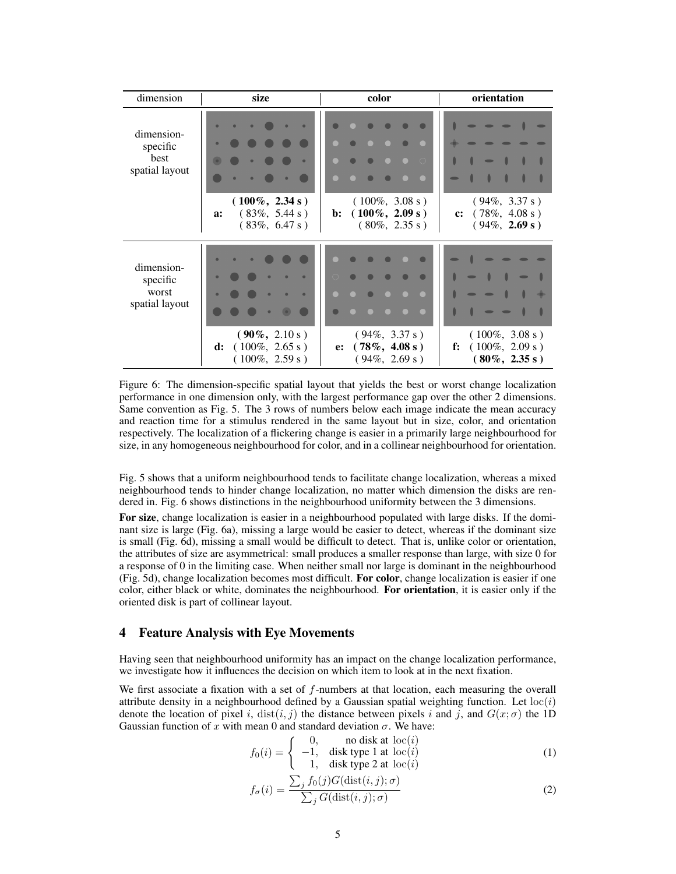| dimension                                         | size                                                                                      | color                                                                                     | orientation                                                                   |
|---------------------------------------------------|-------------------------------------------------------------------------------------------|-------------------------------------------------------------------------------------------|-------------------------------------------------------------------------------|
| dimension-<br>specific<br>best<br>spatial layout  | $\bullet$<br>$\bullet$<br>$(100\%, 2.34 s)$<br>$(83\%, 5.44 s)$<br>a:<br>$(83\%, 6.47 s)$ | $\bigcap$<br>$(100\%, 3.08 s)$<br>$(100\%, 2.09 s)$<br>$\mathbf{b}$ :<br>$(80\%, 2.35 s)$ | $\blacksquare$<br>$(94\%, 3.37 s)$<br>c: $(78\%, 4.08 s)$<br>$(94\%, 2.69 s)$ |
| dimension-<br>specific<br>worst<br>spatial layout | $(90\%, 2.10 s)$<br>$(100\%, 2.65 s)$<br>d:<br>$(100\%, 2.59 s)$                          | $(94\%, 3.37 s)$<br>$(78\%, 4.08 s)$<br>e:<br>$(94\%, 2.69 s)$                            | $(100\%, 3.08 s)$<br>$(100\%, 2.09 s)$<br>f:<br>$(80\%, 2.35 s)$              |

Figure 6: The dimension-specific spatial layout that yields the best or worst change localization performance in one dimension only, with the largest performance gap over the other 2 dimensions. Same convention as Fig. 5. The 3 rows of numbers below each image indicate the mean accuracy and reaction time for a stimulus rendered in the same layout but in size, color, and orientation respectively. The localization of a flickering change is easier in a primarily large neighbourhood for size, in any homogeneous neighbourhood for color, and in a collinear neighbourhood for orientation.

Fig. 5 shows that a uniform neighbourhood tends to facilitate change localization, whereas a mixed neighbourhood tends to hinder change localization, no matter which dimension the disks are rendered in. Fig. 6 shows distinctions in the neighbourhood uniformity between the 3 dimensions.

**For size**, change localization is easier in a neighbourhood populated with large disks. If the dominant size is large (Fig. 6a), missing a large would be easier to detect, whereas if the dominant size is small (Fig. 6d), missing a small would be difficult to detect. That is, unlike color or orientation, the attributes of size are asymmetrical: small produces a smaller response than large, with size 0 for a response of 0 in the limiting case. When neither small nor large is dominant in the neighbourhood (Fig. 5d), change localization becomes most difficult. **For color**, change localization is easier if one color, either black or white, dominates the neighbourhood. **For orientation**, it is easier only if the oriented disk is part of collinear layout.

## **4 Feature Analysis with Eye Movements**

Having seen that neighbourhood uniformity has an impact on the change localization performance, we investigate how it influences the decision on which item to look at in the next fixation.

We first associate a fixation with a set of  $f$ -numbers at that location, each measuring the overall attribute density in a neighbourhood defined by a Gaussian spatial weighting function. Let  $loc(i)$ denote the location of pixel i, dist(i, j) the distance between pixels i and j, and  $G(x; \sigma)$  the 1D Gaussian function of x with mean 0 and standard deviation  $\sigma$ . We have:

$$
f_0(i) = \begin{cases} 0, & \text{no disk at } loc(i) \\ -1, & \text{disk type 1 at } loc(i) \\ 1, & \text{disk type 2 at } loc(i) \end{cases}
$$
 (1)

$$
f_{\sigma}(i) = \frac{\sum_{j} f_0(j) G(\text{dist}(i, j); \sigma)}{\sum_{j} G(\text{dist}(i, j); \sigma)}
$$
(2)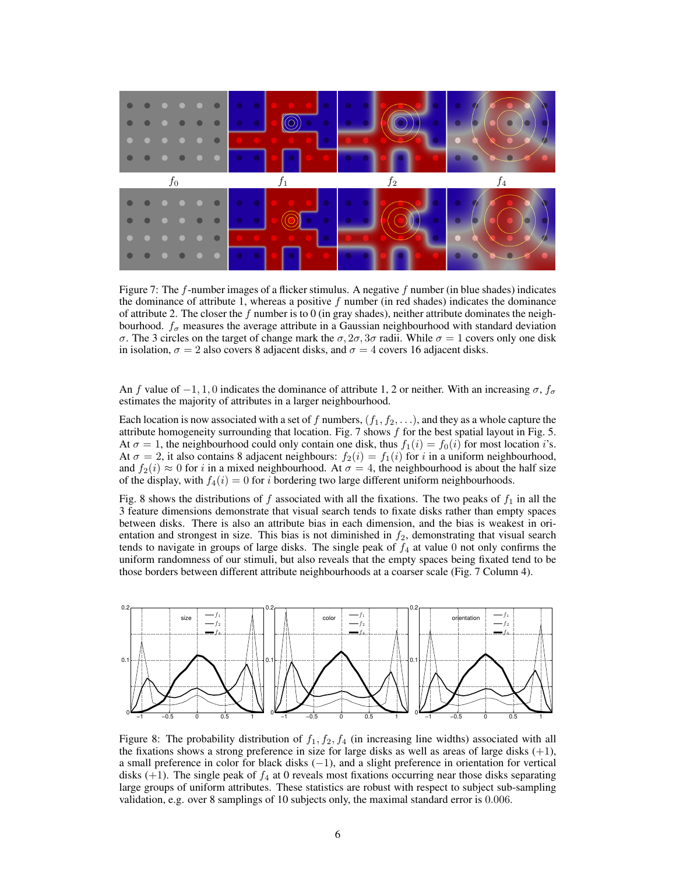

Figure 7: The  $f$ -number images of a flicker stimulus. A negative  $f$  number (in blue shades) indicates the dominance of attribute 1, whereas a positive  $f$  number (in red shades) indicates the dominance of attribute 2. The closer the f number is to 0 (in gray shades), neither attribute dominates the neighbourhood.  $f_{\sigma}$  measures the average attribute in a Gaussian neighbourhood with standard deviation σ. The 3 circles on the target of change mark the  $\sigma$ ,  $2\sigma$ ,  $3\sigma$  radii. While  $\sigma = 1$  covers only one disk in isolation,  $\sigma = 2$  also covers 8 adjacent disks, and  $\sigma = 4$  covers 16 adjacent disks.

An f value of  $-1, 1, 0$  indicates the dominance of attribute 1, 2 or neither. With an increasing  $\sigma$ ,  $f_{\sigma}$ estimates the majority of attributes in a larger neighbourhood.

Each location is now associated with a set of f numbers,  $(f_1, f_2, \ldots)$ , and they as a whole capture the attribute homogeneity surrounding that location. Fig. 7 shows  $f$  for the best spatial layout in Fig. 5. At  $\sigma = 1$ , the neighbourhood could only contain one disk, thus  $f_1(i) = f_0(i)$  for most location i's. At  $\sigma = 2$ , it also contains 8 adjacent neighbours:  $f_2(i) = f_1(i)$  for i in a uniform neighbourhood, and  $f_2(i) \approx 0$  for i in a mixed neighbourhood. At  $\sigma = 4$ , the neighbourhood is about the half size of the display, with  $f_4(i) = 0$  for i bordering two large different uniform neighbourhoods.

Fig. 8 shows the distributions of f associated with all the fixations. The two peaks of  $f_1$  in all the 3 feature dimensions demonstrate that visual search tends to fixate disks rather than empty spaces between disks. There is also an attribute bias in each dimension, and the bias is weakest in orientation and strongest in size. This bias is not diminished in  $f_2$ , demonstrating that visual search tends to navigate in groups of large disks. The single peak of  $f_4$  at value 0 not only confirms the uniform randomness of our stimuli, but also reveals that the empty spaces being fixated tend to be those borders between different attribute neighbourhoods at a coarser scale (Fig. 7 Column 4).



Figure 8: The probability distribution of  $f_1, f_2, f_4$  (in increasing line widths) associated with all the fixations shows a strong preference in size for large disks as well as areas of large disks  $(+1)$ , a small preference in color for black disks (−1), and a slight preference in orientation for vertical disks  $(+1)$ . The single peak of  $f_4$  at 0 reveals most fixations occurring near those disks separating large groups of uniform attributes. These statistics are robust with respect to subject sub-sampling validation, e.g. over 8 samplings of 10 subjects only, the maximal standard error is 0.006.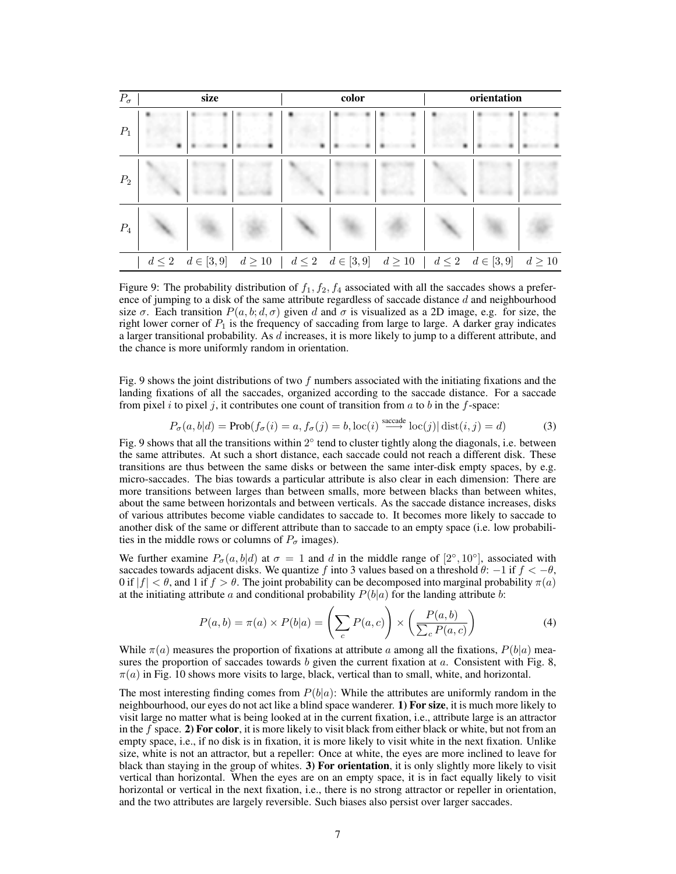| $P_{\sigma}$ |   | size                         |                                                                           | color | orientation |  |             |  |  |  |  |
|--------------|---|------------------------------|---------------------------------------------------------------------------|-------|-------------|--|-------------|--|--|--|--|
| $P_1$        |   |                              |                                                                           |       |             |  |             |  |  |  |  |
|              | 羅 |                              |                                                                           |       |             |  |             |  |  |  |  |
| $P_2$        |   |                              |                                                                           |       |             |  |             |  |  |  |  |
|              |   |                              |                                                                           |       |             |  |             |  |  |  |  |
| $P_4$        |   |                              |                                                                           |       |             |  |             |  |  |  |  |
|              |   | $d \leq 2 \quad d \in [3,9]$ | $d \ge 10$   $d \le 2$ $d \in [3,9]$ $d \ge 10$   $d \le 2$ $d \in [3,9]$ |       |             |  | $d \geq 10$ |  |  |  |  |

Figure 9: The probability distribution of  $f_1, f_2, f_4$  associated with all the saccades shows a preference of jumping to a disk of the same attribute regardless of saccade distance  $d$  and neighbourhood size  $\sigma$ . Each transition  $P(a, b; d, \sigma)$  given d and  $\sigma$  is visualized as a 2D image, e.g. for size, the right lower corner of  $P_1$  is the frequency of saccading from large to large. A darker gray indicates a larger transitional probability. As d increases, it is more likely to jump to a different attribute, and the chance is more uniformly random in orientation.

Fig. 9 shows the joint distributions of two f numbers associated with the initiating fixations and the landing fixations of all the saccades, organized according to the saccade distance. For a saccade from pixel  $i$  to pixel  $j$ , it contributes one count of transition from  $a$  to  $b$  in the  $f$ -space:

$$
P_{\sigma}(a, b|d) = \text{Prob}(f_{\sigma}(i) = a, f_{\sigma}(j) = b, \text{loc}(i) \stackrel{\text{saccade}}{\longrightarrow} \text{loc}(j) | \text{dist}(i, j) = d)
$$
(3)

Fig. 9 shows that all the transitions within  $2^{\circ}$  tend to cluster tightly along the diagonals, i.e. between the same attributes. At such a short distance, each saccade could not reach a different disk. These transitions are thus between the same disks or between the same inter-disk empty spaces, by e.g. micro-saccades. The bias towards a particular attribute is also clear in each dimension: There are more transitions between larges than between smalls, more between blacks than between whites, about the same between horizontals and between verticals. As the saccade distance increases, disks of various attributes become viable candidates to saccade to. It becomes more likely to saccade to another disk of the same or different attribute than to saccade to an empty space (i.e. low probabilities in the middle rows or columns of  $P_{\sigma}$  images).

We further examine  $P_{\sigma}(a, b|d)$  at  $\sigma = 1$  and d in the middle range of  $[2^{\circ}, 10^{\circ}]$ , associated with saccades towards adjacent disks. We quantize f into 3 values based on a threshold  $\theta$ : −1 if  $f < -\theta$ , 0 if  $|f| < \theta$ , and 1 if  $f > \theta$ . The joint probability can be decomposed into marginal probability  $\pi(a)$ at the initiating attribute a and conditional probability  $P(b|a)$  for the landing attribute b:

$$
P(a,b) = \pi(a) \times P(b|a) = \left(\sum_{c} P(a,c)\right) \times \left(\frac{P(a,b)}{\sum_{c} P(a,c)}\right)
$$
(4)

While  $\pi(a)$  measures the proportion of fixations at attribute a among all the fixations,  $P(b|a)$  measures the proportion of saccades towards  $b$  given the current fixation at  $a$ . Consistent with Fig. 8,  $\pi(a)$  in Fig. 10 shows more visits to large, black, vertical than to small, white, and horizontal.

The most interesting finding comes from  $P(b|a)$ : While the attributes are uniformly random in the neighbourhood, our eyes do not act like a blind space wanderer. **1) For size**, it is much more likely to visit large no matter what is being looked at in the current fixation, i.e., attribute large is an attractor in the f space. **2) For color**, it is more likely to visit black from either black or white, but not from an empty space, i.e., if no disk is in fixation, it is more likely to visit white in the next fixation. Unlike size, white is not an attractor, but a repeller: Once at white, the eyes are more inclined to leave for black than staying in the group of whites. **3) For orientation**, it is only slightly more likely to visit vertical than horizontal. When the eyes are on an empty space, it is in fact equally likely to visit horizontal or vertical in the next fixation, i.e., there is no strong attractor or repeller in orientation, and the two attributes are largely reversible. Such biases also persist over larger saccades.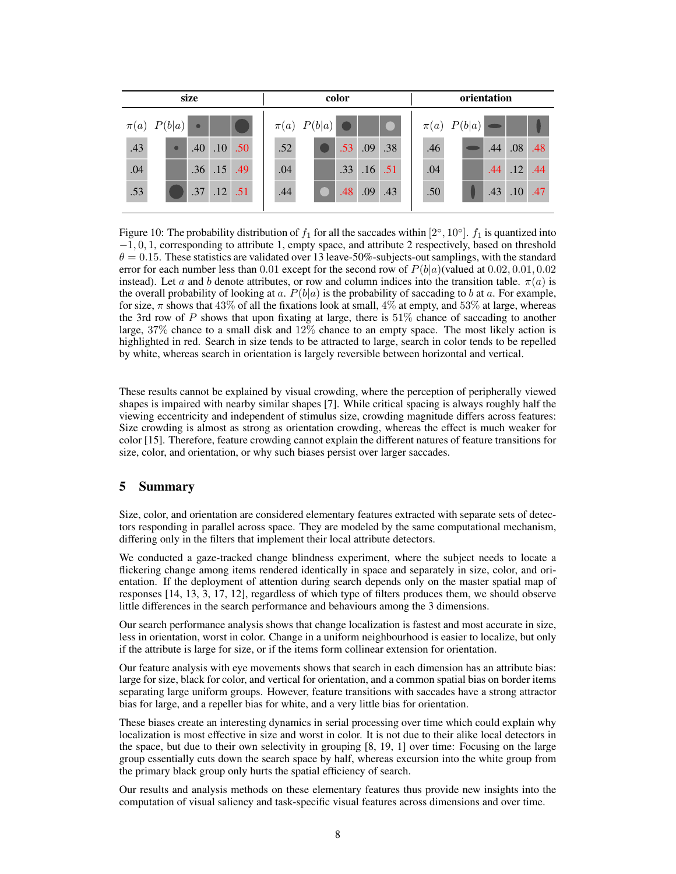| size |                   |           | color            |     |                   |  |  |                  | orientation |     |  |     |  |                   |     |                  |     |
|------|-------------------|-----------|------------------|-----|-------------------|--|--|------------------|-------------|-----|--|-----|--|-------------------|-----|------------------|-----|
|      | $\pi(a)$ $P(b a)$ | $\bullet$ |                  |     | $\pi(a)$ $P(b a)$ |  |  |                  |             |     |  |     |  | $\pi(a)$ $P(b a)$ |     |                  |     |
| .43  | $\bullet$         | .40       | .10 <sup>1</sup> | .50 | .52               |  |  | .53 <sup>°</sup> | .09         | .38 |  | .46 |  |                   | .44 | .08              | .48 |
| .04  |                   |           | .36 .15 .49      |     | .04               |  |  | .33 <sup>1</sup> | $.16$ .51   |     |  | .04 |  |                   | .44 | .12              | .44 |
| .53  |                   | .37       | .12              | .51 | .44               |  |  | .48              | .09         | .43 |  | .50 |  |                   | .43 | .10 <sub>l</sub> | .47 |
|      |                   |           |                  |     |                   |  |  |                  |             |     |  |     |  |                   |     |                  |     |

Figure 10: The probability distribution of  $f_1$  for all the saccades within  $[2^\circ, 10^\circ]$ .  $f_1$  is quantized into −1, 0, 1, corresponding to attribute 1, empty space, and attribute 2 respectively, based on threshold  $\theta = 0.15$ . These statistics are validated over 13 leave-50%-subjects-out samplings, with the standard error for each number less than 0.01 except for the second row of  $P(b|a)$ (valued at 0.02, 0.01, 0.02 instead). Let a and b denote attributes, or row and column indices into the transition table.  $\pi(a)$  is the overall probability of looking at a.  $P(b|a)$  is the probability of saccading to b at a. For example, for size,  $\pi$  shows that 43% of all the fixations look at small, 4% at empty, and 53% at large, whereas the 3rd row of P shows that upon fixating at large, there is  $51\%$  chance of saccading to another large, 37% chance to a small disk and 12% chance to an empty space. The most likely action is highlighted in red. Search in size tends to be attracted to large, search in color tends to be repelled by white, whereas search in orientation is largely reversible between horizontal and vertical.

These results cannot be explained by visual crowding, where the perception of peripherally viewed shapes is impaired with nearby similar shapes [7]. While critical spacing is always roughly half the viewing eccentricity and independent of stimulus size, crowding magnitude differs across features: Size crowding is almost as strong as orientation crowding, whereas the effect is much weaker for color [15]. Therefore, feature crowding cannot explain the different natures of feature transitions for size, color, and orientation, or why such biases persist over larger saccades.

# **5 Summary**

Size, color, and orientation are considered elementary features extracted with separate sets of detectors responding in parallel across space. They are modeled by the same computational mechanism, differing only in the filters that implement their local attribute detectors.

We conducted a gaze-tracked change blindness experiment, where the subject needs to locate a flickering change among items rendered identically in space and separately in size, color, and orientation. If the deployment of attention during search depends only on the master spatial map of responses [14, 13, 3, 17, 12], regardless of which type of filters produces them, we should observe little differences in the search performance and behaviours among the 3 dimensions.

Our search performance analysis shows that change localization is fastest and most accurate in size, less in orientation, worst in color. Change in a uniform neighbourhood is easier to localize, but only if the attribute is large for size, or if the items form collinear extension for orientation.

Our feature analysis with eye movements shows that search in each dimension has an attribute bias: large for size, black for color, and vertical for orientation, and a common spatial bias on border items separating large uniform groups. However, feature transitions with saccades have a strong attractor bias for large, and a repeller bias for white, and a very little bias for orientation.

These biases create an interesting dynamics in serial processing over time which could explain why localization is most effective in size and worst in color. It is not due to their alike local detectors in the space, but due to their own selectivity in grouping [8, 19, 1] over time: Focusing on the large group essentially cuts down the search space by half, whereas excursion into the white group from the primary black group only hurts the spatial efficiency of search.

Our results and analysis methods on these elementary features thus provide new insights into the computation of visual saliency and task-specific visual features across dimensions and over time.